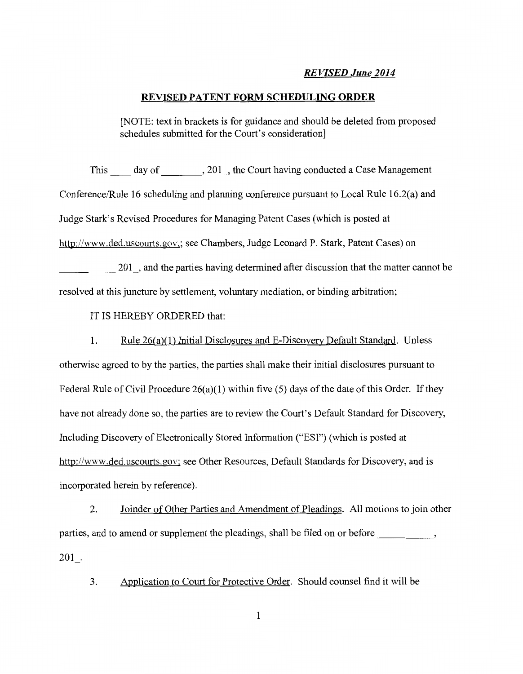#### *REVISED June 2014*

#### **REVISED PATENT FORM SCHEDULING ORDER**

[NOTE: text in brackets is for guidance and should be deleted from proposed schedules submitted for the Court's consideration]

This day of , 201, the Court having conducted a Case Management Conference/Rule 16 scheduling and planning conference pursuant to Local Rule 16.2(a) and Judge Stark's Revised Procedures for Managing Patent Cases (which is posted at http://www.ded.uscourts.gov,; see Chambers, Judge Leonard P. Stark, Patent Cases) on 201, and the parties having determined after discussion that the matter cannot be resolved at this juncture by settlement, voluntary mediation, or binding arbitration;

IT IS HEREBY ORDERED that:

1. Rule 26(a)(l) Initial Disclosures and E-Discovery Default Standard. Unless

otherwise agreed to by the parties, the parties shall make their initial disclosures pursuant to Federal Rule of Civil Procedure  $26(a)(1)$  within five (5) days of the date of this Order. If they have not already done so, the parties are to review the Court's Default Standard for Discovery, Including Discovery of Electronically Stored Information ("ESI'') (which is posted at http://www.ded.uscourts.gov; see Other Resources, Default Standards for Discovery, and is incorporated herein by reference).

2. Joinder of Other Parties and Amendment of Pleadings. All motions to join other parties, and to amend or supplement the pleadings, shall be filed on or before \_\_\_\_\_\_\_\_\_\_\_\_\_\_  $201$ .

3. Application to Court for Protective Order. Should counsel find it will be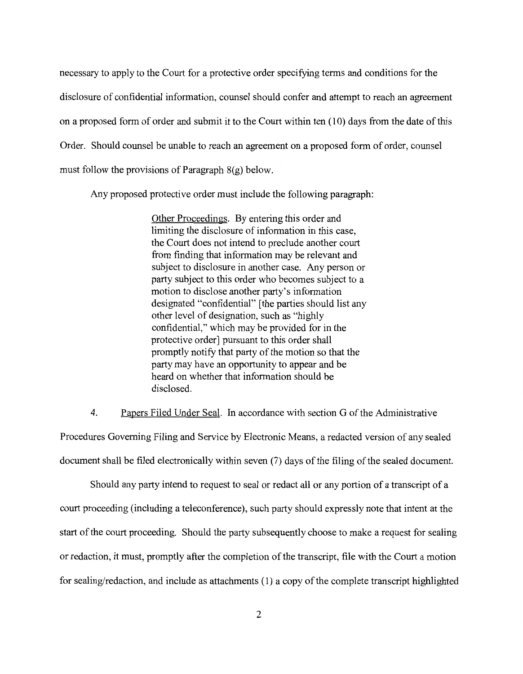necessary to apply to the Court for a protective order specifying terms and conditions for the disclosure of confidential information, counsel should confer and attempt to reach an agreement on a proposed form of order and submit it to the Court within ten (10) days from the date of this Order. Should counsel be unable to reach an agreement on a proposed form of order, counsel must follow the provisions of Paragraph  $8(g)$  below.

Any proposed protective order must include the following paragraph:

Other Proceedings. By entering this order and limiting the disclosure of information in this case, the Court does not intend to preclude another court from finding that information may be relevant and subject to disclosure in another case. Any person or party subject to this order who becomes subject to a motion to disclose another party's information designated "confidential" [the parties should list any other level of designation, such as "highly confidential," which may be provided for in the protective order] pursuant to this order shall promptly notify that party of the motion so that the party may have an opportunity to appear and be heard on whether that information should be disclosed.

4. Papers Filed Under Seal. In accordance with section G of the Administrative

Procedures Governing Filing and Service by Electronic Means, a redacted version of any sealed document shall be filed electronically within seven (7) days of the filing of the sealed document.

Should any party intend to request to seal or redact all or any portion of a transcript of a court proceeding (including a teleconference), such party should expressly note that intent at the start of the court proceeding. Should the party subsequently choose to make a request for sealing or redaction, it must, promptly after the completion of the transcript, file with the Court a motion for sealing/redaction, and include as attachments (1) a copy of the complete transcript highlighted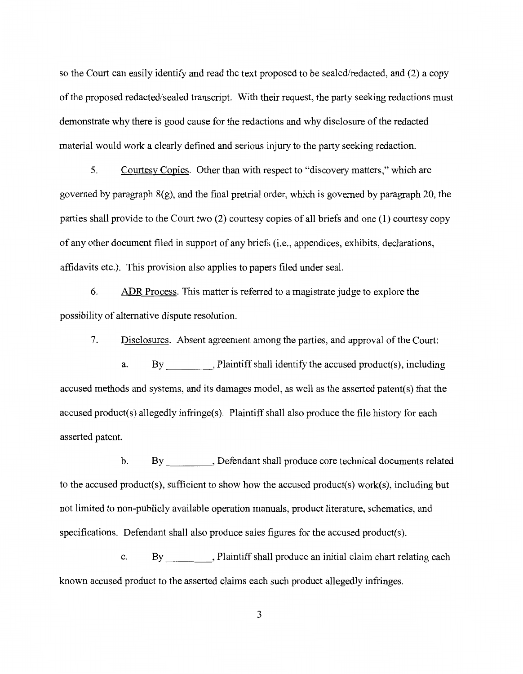so the Court can easily identify and read the text proposed to be sealed/redacted, and (2) a copy of the proposed redacted/sealed transcript. With their request, the party seeking redactions must demonstrate why there is good cause for the redactions and why disclosure of the redacted material would work a clearly defined and serious injury to the party seeking redaction.

5. Courtesy Copies. Other than with respect to "discovery matters," which are governed by paragraph 8(g), and the final pretrial order, which is governed by paragraph 20, the parties shall provide to the Court two (2) courtesy copies of all briefs and one (1) courtesy copy of any other document filed in support of any briefs (i.e., appendices, exhibits, declarations, affidavits etc.). This provision also applies to papers filed under seal.

6. ADR Process. This matter is referred to a magistrate judge to explore the possibility of alternative dispute resolution.

7. Disclosures. Absent agreement among the parties, and approval of the Court:

a. By Plaintiff shall identify the accused product(s), including accused methods and systems, and its damages model, as well as the asserted patent(s) that the accused product(s) allegedly infringe(s). Plaintiff shall also produce the file history for each asserted patent.

b. By , Defendant shall produce core technical documents related to the accused product(s), sufficient to show how the accused product(s) work(s), including but not limited to non-publicly available operation manuals, product literature, schematics, and specifications. Defendant shall also produce sales figures for the accused product(s).

c. By \_\_\_\_ , Plaintiff shall produce an initial claim chart relating each known accused product to the asserted claims each such product allegedly infringes.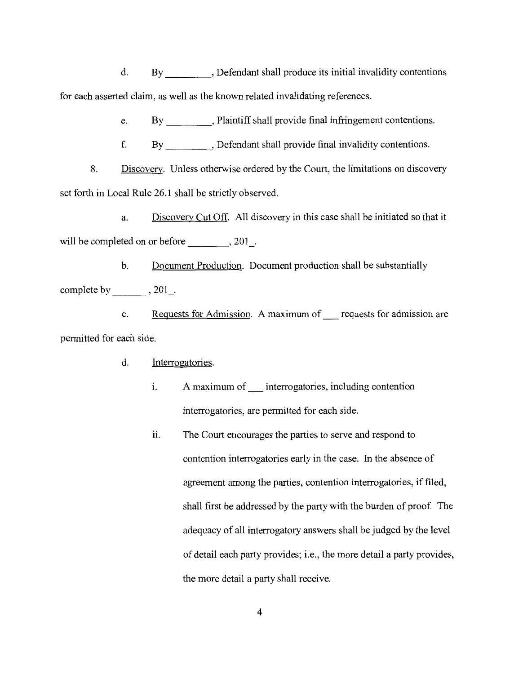d. By perfendant shall produce its initial invalidity contentions for each asserted claim, as well as the known related invalidating references.

e. By Plaintiff shall provide final infringement contentions.

f. By Burness, Defendant shall provide final invalidity contentions.

8. Discovery. Unless otherwise ordered by the Court, the limitations on discovery set forth in Local Rule 26.1 shall be strictly observed.

a. Discovery Cut Off. All discovery in this case shall be initiated so that it will be completed on or before , 201.

b. Document Production. Document production shall be substantially complete by  $\_\_\_\_$ , 201 $\_\_$ .

c. Requests for Admission. A maximum of requests for admission are permitted for each side.

d. Interrogatories.

- i. A maximum of interrogatories, including contention interrogatories, are permitted for each side.
- ii. The Court encourages the parties to serve and respond to contention interrogatories early in the case. In the absence of agreement among the parties, contention interrogatories, if filed, shall first be addressed by the party with the burden of proof. The adequacy of all interrogatory answers shall be judged by the level of detail each party provides; i.e., the more detail a party provides, the more detail a party shall receive.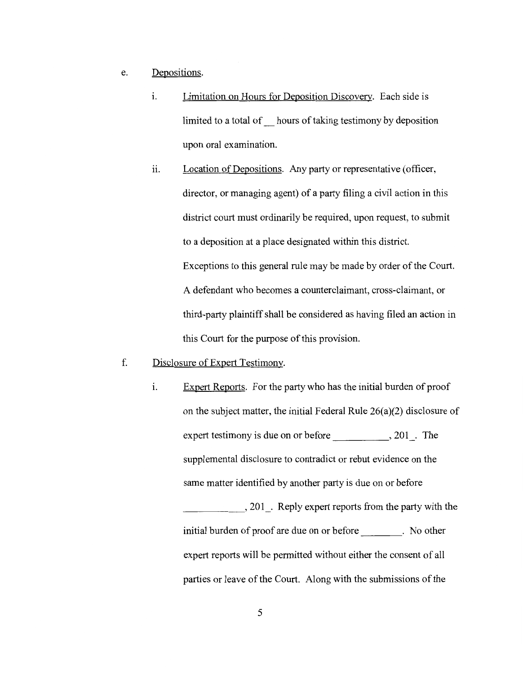## e. Depositions.

- i. Limitation on Hours for Deposition Discovery. Each side is limited to a total of hours of taking testimony by deposition upon oral examination.
- ii. Location of Depositions. Any party or representative (officer, director, or managing agent) of a party filing a civil action in this district court must ordinarily be required, upon request, to submit to a deposition at a place designated within this district. Exceptions to this general rule may be made by order of the Court. A defendant who becomes a counterclaimant, cross-claimant, or third-party plaintiff shall be considered as having filed an action in this Court for the purpose of this provision.

### f. Disclosure of Expert Testimony.

i. Expert Reports. For the party who has the initial burden of proof on the subject matter, the initial Federal Rule 26(a)(2) disclosure of expert testimony is due on or before , 201. The supplemental disclosure to contradict or rebut evidence on the same matter identified by another party is due on or before \_\_\_\_\_ , 201\_. Reply expert reports from the party with the initial burden of proof are due on or before \_\_\_\_\_\_\_. No other

parties or leave of the Court. Along with the submissions of the

expert reports will be permitted without either the consent of all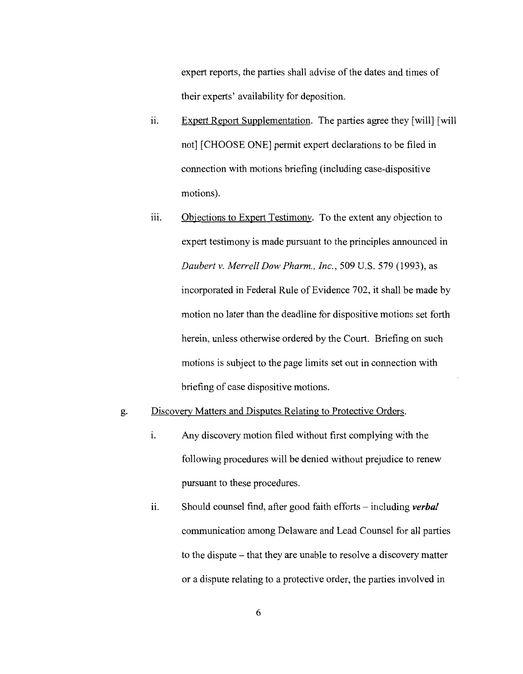expert reports, the parties shall advise of the dates and times of their experts' availability for deposition.

- ii. Expert Report Supplementation. The parties agree they [will] [will] not] [CHOOSE ONE] permit expert declarations to be filed in connection with motions briefing (including case-dispositive motions).
- iii. Objections to Expert Testimony. To the extent any objection to expert testimony is made pursuant to the principles announced in *Daubert v. Merrell Dow Pharm., Inc.,* 509 U.S. 579 (1993), as incorporated in Federal Rule of Evidence 702, it shall be made by motion no later than the deadline for dispositive motions set forth herein, unless otherwise ordered by the Court. Briefing on such motions is subject to the page limits set out in connection with briefing of case dispositive motions.

# g. Discovery Matters and Disputes Relating to Protective Orders.

- 1. Any discovery motion filed without first complying with the following procedures will be denied without prejudice to renew pursuant to these procedures.
- ii. Should counsel find, after good faith efforts including *verbal* communication among Delaware and Lead Counsel for all parties to the dispute- that they are unable to resolve a discovery matter or a dispute relating to a protective order, the parties involved in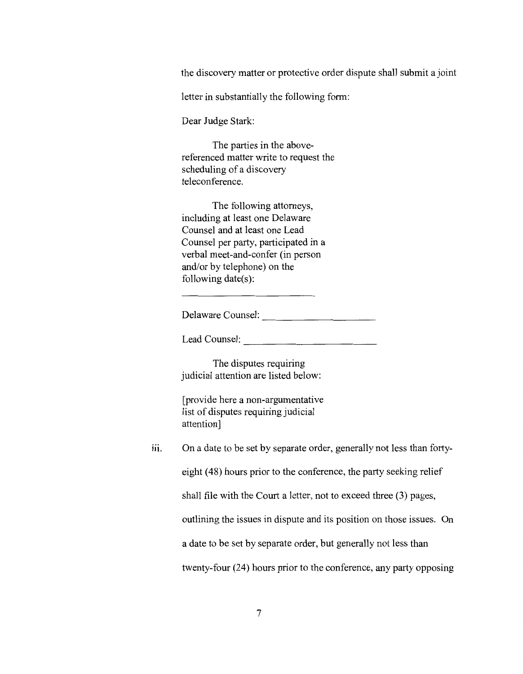the discovery matter or protective order dispute shall submit a joint

letter in substantially the following form:

Dear Judge Stark:

The parties in the abovereferenced matter write to request the scheduling of a discovery teleconference.

The following attorneys, including at least one Delaware Counsel and at least one Lead Counsel per party, participated in a verbal meet-and-confer (in person and/or by telephone) on the following date(s):

Delaware Counsel:  $\qquad \qquad$ 

Lead Counsel:

The disputes requiring judicial attention are listed below:

[provide here a non-argumentative list of disputes requiring judicial attention]

iii. On a date to be set by separate order, generally not less than fortyeight (48) hours prior to the conference, the party seeking relief shall file with the Court a letter, not to exceed three (3) pages, outlining the issues in dispute and its position on those issues. On a date to be set by separate order, but generally not less than twenty-four (24) hours prior to the conference, any party opposing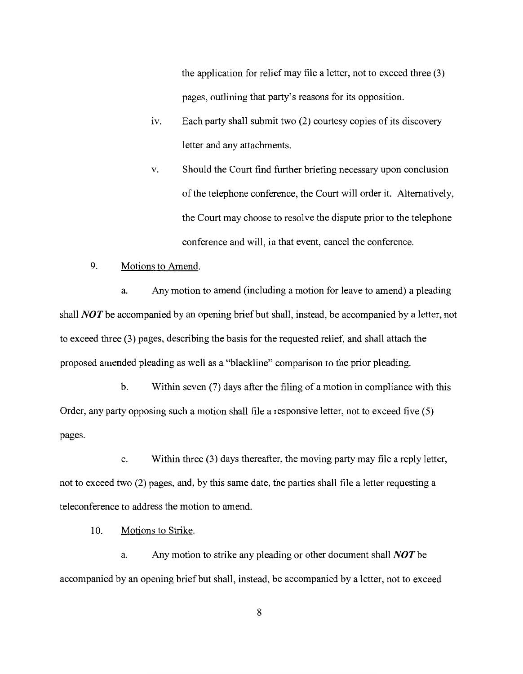the application for relief may file a letter, not to exceed three (3) pages, outlining that party's reasons for its opposition.

- iv. Each party shall submit two (2) courtesy copies of its discovery letter and any attachments.
- v. Should the Court find further briefing necessary upon conclusion of the telephone conference, the Court will order it. Alternatively, the Court may choose to resolve the dispute prior to the telephone conference and will, in that event, cancel the conference.

### 9. Motions to Amend.

a. Any motion to amend (including a motion for leave to amend) a pleading shall *NOT* be accompanied by an opening brief but shall, instead, be accompanied by a letter, not to exceed three (3) pages, describing the basis for the requested relief, and shall attach the proposed amended pleading as well as a "blackline" comparison to the prior pleading.

b. Within seven (7) days after the filing of a motion in compliance with this Order, any party opposing such a motion shall file a responsive letter, not to exceed five (5) pages.

c. Within three (3) days thereafter, the moving party may file a reply letter, not to exceed two (2) pages, and, by this same date, the parties shall file a letter requesting a teleconference to address the motion to amend.

10. Motions to Strike.

a. Any motion to strike any pleading or other document shall *NOT* be accompanied by an opening brief but shall, instead, be accompanied by a letter, not to exceed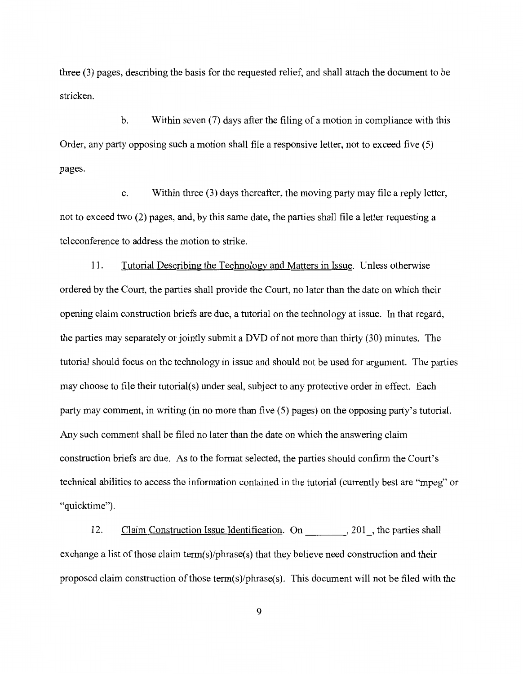three (3) pages, describing the basis for the requested relief, and shall attach the document to be stricken.

b. Within seven (7) days after the filing of a motion in compliance with this Order, any party opposing such a motion shall file a responsive letter, not to exceed five (5) pages.

c. Within three (3) days thereafter, the moving party may file a reply letter, not to exceed two (2) pages, and, by this same date, the parties shall file a letter requesting a teleconference to address the motion to strike.

11. Tutorial Describing the Technology and Matters in Issue. Unless otherwise ordered by the Court, the parties shall provide the Court, no later than the date on which their opening claim construction briefs are due, a tutorial on the technology at issue. In that regard, the parties may separately or jointly submit a DVD of not more than thirty (30) minutes. The tutorial should focus on the technology in issue and should not be used for argument. The parties may choose to file their tutorial(s) under seal, subject to any protective order in effect. Each party may comment, in writing (in no more than five (5) pages) on the opposing party's tutorial. Any such comment shall be filed no later than the date on which the answering claim construction briefs are due. As to the format selected, the parties should confirm the Court's technical abilities to access the information contained in the tutorial (currently best are "mpeg" or "quicktime").

12. Claim Construction Issue Identification. On , 201, the parties shall exchange a list of those claim term(s)/phrase(s) that they believe need construction and their proposed claim construction of those term(s)/phrase(s). This document will not be filed with the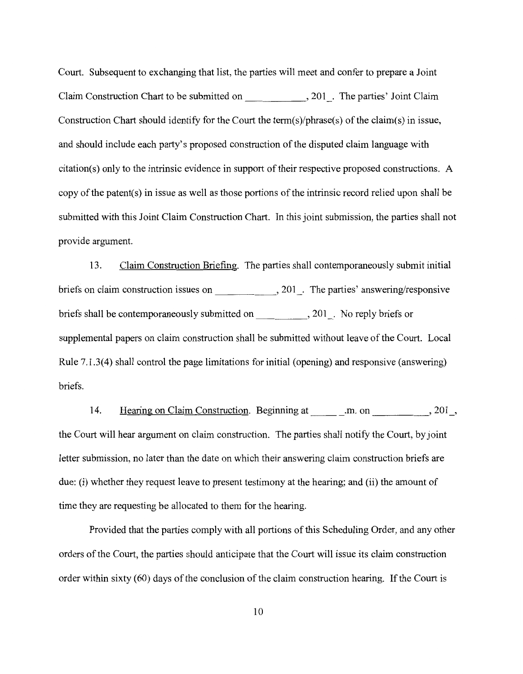Court. Subsequent to exchanging that list, the parties will meet and confer to prepare a Joint Claim Construction Chart to be submitted on , 201. The parties' Joint Claim Construction Chart should identify for the Court the term(s)/phrase(s) of the claim(s) in issue, and should include each party's proposed construction of the disputed claim language with citation(s) only to the intrinsic evidence in support of their respective proposed constructions. A copy of the patent(s) in issue as well as those portions of the intrinsic record relied upon shall be submitted with this Joint Claim Construction Chart. In this joint submission, the parties shall not provide argument.

13. Claim Construction Briefing. The parties shall contemporaneously submit initial briefs on claim construction issues on \_\_\_\_\_\_\_\_\_\_\_\_, 201\_. The parties' answering/responsive briefs shall be contemporaneously submitted on  $\qquad \qquad , 201$ . No reply briefs or supplemental papers on claim construction shall be submitted without leave of the Court. Local Rule 7.1.3(4) shall control the page limitations for initial (opening) and responsive (answering) briefs.

14. Hearing on Claim Construction. Beginning at .m. on ... , 201, the Court will hear argument on claim construction. The parties shall notify the Court, by joint letter submission, no later than the date on which their answering claim construction briefs are due: (i) whether they request leave to present testimony at the hearing; and (ii) the amount of time they are requesting be allocated to them for the hearing.

Provided that the parties comply with all portions of this Scheduling Order, and any other orders of the Court, the parties should anticipate that the Court will issue its claim construction order within sixty (60) days of the conclusion of the claim construction hearing. If the Court is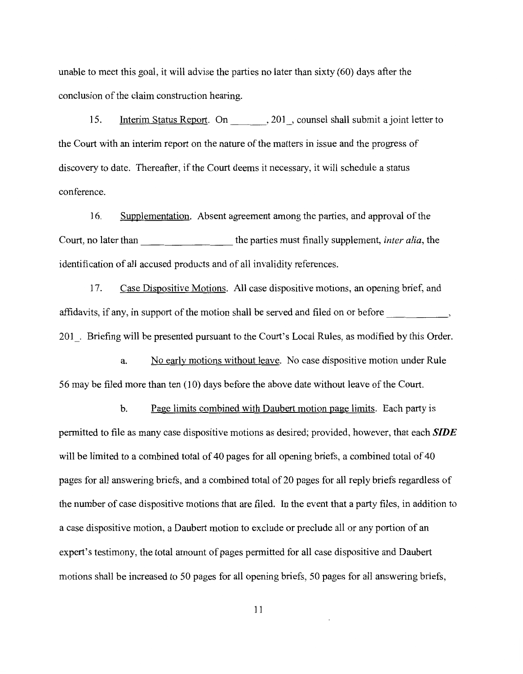unable to meet this goal, it will advise the parties no later than sixty  $(60)$  days after the conclusion of the claim construction hearing.

15. Interim Status Report. On 201, counsel shall submit a joint letter to the Court with an interim report on the nature of the matters in issue and the progress of discovery to date. Thereafter, if the Court deems it necessary, it will schedule a status conference.

16. Supplementation. Absent agreement among the parties, and approval of the Court, no later than the parties must finally supplement, *inter alia*, the identification of all accused products and of all invalidity references.

1 7. Case Dispositive Motions. All case dispositive motions, an opening brief, and affidavits, if any, in support of the motion shall be served and filed on or before  $\cdot$ , 201 . Briefing will be presented pursuant to the Court's Local Rules, as modified by this Order.

a. No early motions without leave. No case dispositive motion under Rule 56 may be filed more than ten (10) days before the above date without leave of the Court.

b. Page limits combined with Daubert motion page limits. Each party is permitted to file as many case dispositive motions as desired; provided, however, that each *SIDE*  will be limited to a combined total of 40 pages for all opening briefs, a combined total of 40 pages for all answering briefs, and a combined total of 20 pages for all reply briefs regardless of the number of case dispositive motions that are filed. In the event that a party files, in addition to a case dispositive motion, a Daubert motion to exclude or preclude all or any portion of an expert's testimony, the total amount of pages permitted for all case dispositive and Daubert motions shall be increased to 50 pages for all opening briefs, 50 pages for all answering briefs,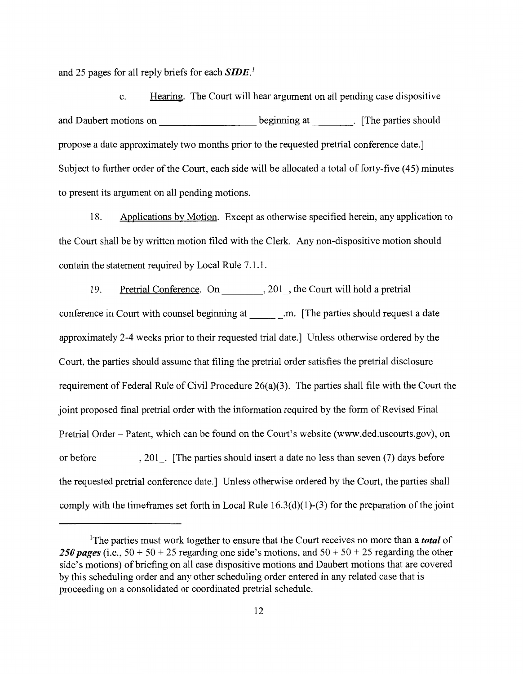and 25 pages for all reply briefs for each **SIDE**.<sup>1</sup>

c. Hearing. The Court will hear argument on all pending case dispositive and Daubert motions on beginning at [The parties should propose a date approximately two months prior to the requested pretrial conference date.] Subject to further order of the Court, each side will be allocated a total of forty-five (45) minutes to present its argument on all pending motions.

18. Applications by Motion. Except as otherwise specified herein, any application to the Court shall be by written motion filed with the Clerk. Any non-dispositive motion should contain the statement required by Local Rule 7.1.1.

19. Pretrial Conference. On 201, the Court will hold a pretrial conference in Court with counsel beginning at \_\_\_\_\_\_\_.m. [The parties should request a date approximately 2-4 weeks prior to their requested trial date.] Unless otherwise ordered by the Court, the parties should assume that filing the pretrial order satisfies the pretrial disclosure requirement of Federal Rule of Civil Procedure  $26(a)(3)$ . The parties shall file with the Court the joint proposed final pretrial order with the information required by the form of Revised Final Pretrial Order- Patent, which can be found on the Court's website (www.ded.uscourts.gov), on or before  $\qquad \qquad$ , 201. [The parties should insert a date no less than seven (7) days before the requested pretrial conference date.] Unless otherwise ordered by the Court, the parties shall comply with the timeframes set forth in Local Rule  $16.3(d)(1)-(3)$  for the preparation of the joint

<sup>&</sup>lt;sup>1</sup>The parties must work together to ensure that the Court receives no more than a *total* of 250 pages (i.e.,  $50 + 50 + 25$  regarding one side's motions, and  $50 + 50 + 25$  regarding the other side's motions) of briefing on all case dispositive motions and Daubert motions that are covered by this scheduling order and any other scheduling order entered in any related case that is proceeding on a consolidated or coordinated pretrial schedule.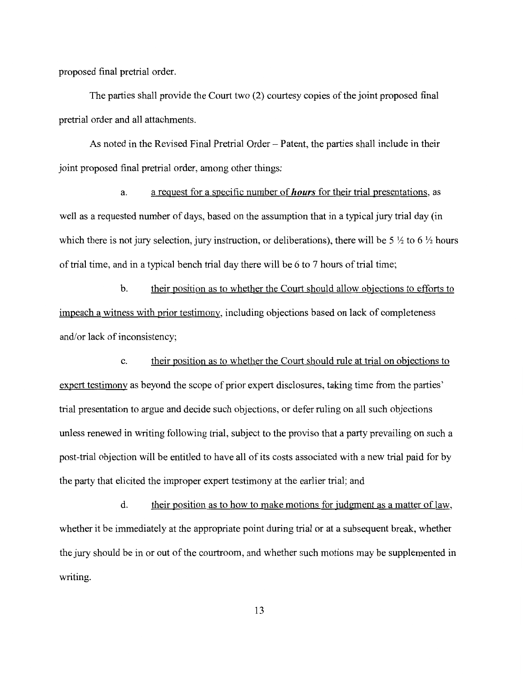proposed final pretrial order.

The parties shall provide the Court two (2) courtesy copies of the joint proposed final pretrial order and all attachments.

As noted in the Revised Final Pretrial Order- Patent, the parties shall include in their joint proposed final pretrial order, among other things:

a. a request for a specific number of *hours* for their trial presentations, as well as a requested number of days, based on the assumption that in a typical jury trial day (in which there is not jury selection, jury instruction, or deliberations), there will be 5  $\frac{1}{2}$  to 6  $\frac{1}{2}$  hours of trial time, and in a typical bench trial day there will be 6 to 7 hours of trial time;

b. their position as to whether the Court should allow objections to efforts to impeach a witness with prior testimony, including objections based on lack of completeness and/or lack of inconsistency;

c. their position as to whether the Court should rule at trial on objections to expert testimony as beyond the scope of prior expert disclosures, taking time from the parties' trial presentation to argue and decide such objections, or defer ruling on all such objections unless renewed in writing following trial, subject to the proviso that a party prevailing on such a post-trial objection will be entitled to have all of its costs associated with a new trial paid for by the party that elicited the improper expert testimony at the earlier trial; and

d. their position as to how to make motions for judgment as a matter of law, whether it be immediately at the appropriate point during trial or at a subsequent break, whether the jury should be in or out of the courtroom, and whether such motions may be supplemented in writing.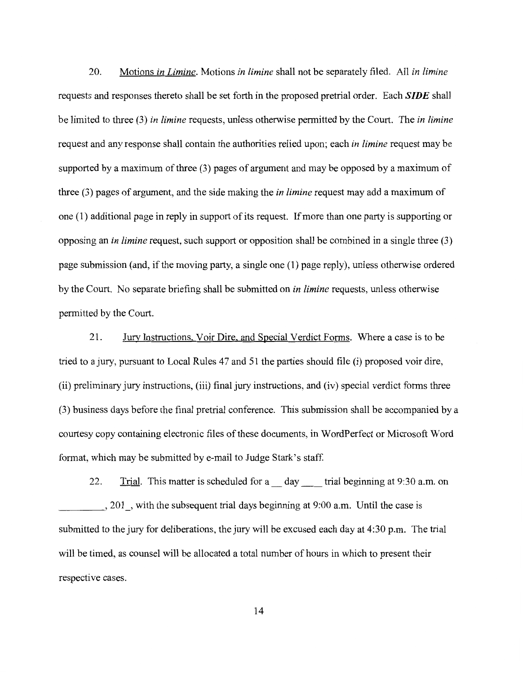20. Motions *in Limine.* Motions *in limine* shall not be separately filed. All *in limine*  requests and responses thereto shall be set forth in the proposed pretrial order. Each *SIDE* shall be limited to three (3) *in limine* requests, unless otherwise permitted by the Court. The *in limine*  request and any response shall contain the authorities relied upon; each *in limine* request may be supported by a maximum of three (3) pages of argument and may be opposed by a maximum of three (3) pages of argument, and the side making the *in limine* request may add a maximum of one (1) additional page in reply in support of its request. If more than one party is supporting or opposing an *in limine* request, such support or opposition shall be combined in a single three (3) page submission (and, if the moving party, a single one ( 1) page reply), unless otherwise ordered by the Court. No separate briefing shall be submitted on *in limine* requests, unless otherwise permitted by the Court.

21. Jury Instructions, Voir Dire, and Special Verdict Forms. Where a case is to be tried to a jury, pursuant to Local Rules 47 and 51 the parties should file (i) proposed voir dire, (ii) preliminary jury instructions, (iii) final jury instructions, and (iv) special verdict forms three (3) business days before the final pretrial conference. This submission shall be accompanied by a courtesy copy containing electronic files of these documents, in WordPerfect or Microsoft Word format, which may be submitted by e-mail to Judge Stark's staff.

22. Trial. This matter is scheduled for a day trial beginning at 9:30 a.m. on \_\_\_\_ , 201\_, with the subsequent trial days beginning at 9:00a.m. Until the case is submitted to the jury for deliberations, the jury will be excused each day at 4:30 p.m. The trial will be timed, as counsel will be allocated a total number of hours in which to present their respective cases.